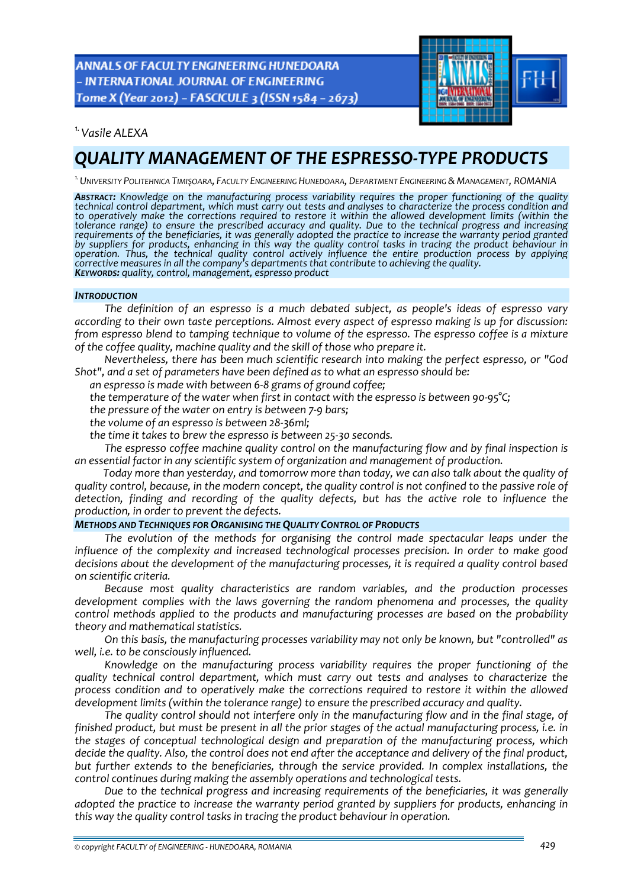**ANNALS OF FACULTY ENGINEERING HUNEDOARA** - INTERNATIONAL JOURNAL OF ENGINEERING Tome X (Year 2012) - FASCICULE 3 (ISSN 1584 - 2673)



*1.Vasile ALEXA* 

# *QUALITY MANAGEMENT OF THE ESPRESSO‐TYPE PRODUCTS*

*1.UNIVERSITY POLITEHNICA TIMIŞOARA, FACULTY ENGINEERING HUNEDOARA, DEPARTMENT ENGINEERING & MANAGEMENT, ROMANIA*

ABSTRACT: Knowledge on the manufacturing process variability requires the proper functioning of the quality technical control department, which must carry out tests and analyses to characterize the process condition and *to operatively make the corrections required to restore it within the allowed development limits (within the* tolerance range) to ensure the prescribed accuracy and quality. Due to the technical progress and increasing<br>requirements of the beneficiaries, it was generally adopted the practice to increase the warranty period granted by suppliers for products, enhancing in this way the quality control tasks in tracing the product behaviour in<br>operation. Thus, the technical quality control actively influence the entire production process by applying<br>cor

#### *INTRODUCTION*

*The definition of an espresso is a much debated subject, as people's ideas of espresso vary according to their own taste perceptions. Almost every aspect of espresso making is up for discussion: from espresso blend to tamping technique to volume of the espresso. The espresso coffee is a mixture of the coffee quality, machine quality and the skill of those who prepare it.* 

*Nevertheless, there has been much scientific research into making the perfect espresso, or "God Shot", and a set of parameters have been defined as to what an espresso should be:*

*an espresso is made with between 6‐8 grams of ground coffee;*

*the temperature of the water when first in contact with the espresso is between 90‐95°C;*

*the pressure of the water on entry is between 7‐9 bars;*

*the volume of an espresso is between 28‐36ml;*

*the time it takes to brew the espresso is between 25‐30 seconds.*

*The espresso coffee machine quality control on the manufacturing flow and by final inspection is an essential factor in any scientific system of organization and management of production.* 

*Today more than yesterday, and tomorrow more than today, we can also talk about the quality of* quality control, because, in the modern concept, the quality control is not confined to the passive role of *detection, finding and recording of the quality defects, but has the active role to influence the production, in order to prevent the defects.*

## *METHODS AND TECHNIQUES FOR ORGANISING THE QUALITY CONTROL OF PRODUCTS*

*The evolution of the methods for organising the control made spectacular leaps under the influence of the complexity and increased technological processes precision. In order to make good decisions about the development of the manufacturing processes, it is required a quality control based on scientific criteria.*

*Because most quality characteristics are random variables, and the production processes development complies with the laws governing the random phenomena and processes, the quality control methods applied to the products and manufacturing processes are based on the probability theory and mathematical statistics.*

*On this basis, the manufacturing processes variability may not only be known, but "controlled" as well, i.e. to be consciously influenced.*

*Knowledge on the manufacturing process variability requires the proper functioning of the quality technical control department, which must carry out tests and analyses to characterize the process condition and to operatively make the corrections required to restore it within the allowed development limits (within the tolerance range) to ensure the prescribed accuracy and quality.*

*The quality control should not interfere only in the manufacturing flow and in the final stage, of* finished product, but must be present in all the prior stages of the actual manufacturing process, i.e. in *the stages of conceptual technological design and preparation of the manufacturing process, which* decide the quality. Also, the control does not end after the acceptance and delivery of the final product, *but further extends to the beneficiaries, through the service provided. In complex installations, the control continues during making the assembly operations and technological tests.*

*Due to the technical progress and increasing requirements of the beneficiaries, it was generally adopted the practice to increase the warranty period granted by suppliers for products, enhancing in this way the quality control tasks in tracing the product behaviour in operation.*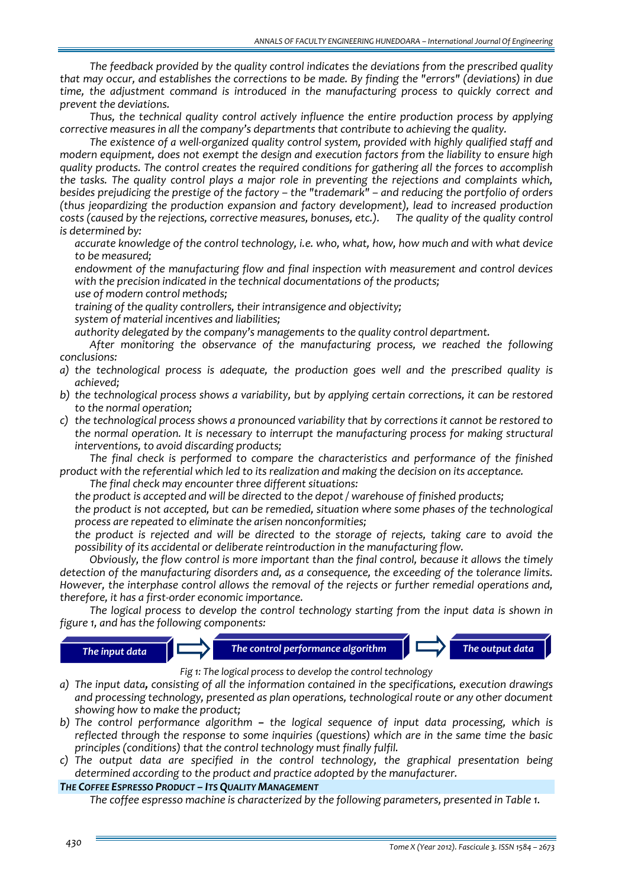*The feedback provided by the quality control indicates the deviations from the prescribed quality that may occur, and establishes the corrections to be made. By finding the "errors" (deviations) in due time, the adjustment command is introduced in the manufacturing process to quickly correct and prevent the deviations.* 

*Thus, the technical quality control actively influence the entire production process by applying corrective measures in all the company's departments that contribute to achieving the quality.* 

*The existence of a well‐organized quality control system, provided with highly qualified staff and modern equipment, does not exempt the design and execution factors from the liability to ensure high quality products. The control creates the required conditions for gathering all the forces to accomplish the tasks. The quality control plays a major role in preventing the rejections and complaints which, besides prejudicing the prestige of the factory – the "trademark" – and reducing the portfolio of orders (thus jeopardizing the production expansion and factory development), lead to increased production costs (caused by the rejections, corrective measures, bonuses, etc.). The quality of the quality control is determined by:*

 *accurate knowledge of the control technology, i.e. who, what, how, how much and with what device to be measured;*

 *endowment of the manufacturing flow and final inspection with measurement and control devices with the precision indicated in the technical documentations of the products;*

*use of modern control methods;*

*training of the quality controllers, their intransigence and objectivity;*

*system of material incentives and liabilities;*

*authority delegated by the company's managements to the quality control department.*

*After monitoring the observance of the manufacturing process, we reached the following conclusions:*

- *a) the technological process is adequate, the production goes well and the prescribed quality is achieved;*
- *b) the technological process shows a variability, but by applying certain corrections, it can be restored to the normal operation;*
- *c) the technological process shows a pronounced variability that by corrections it cannot be restored to the normal operation. It is necessary to interrupt the manufacturing process for making structural interventions, to avoid discarding products;*

*The final check is performed to compare the characteristics and performance of the finished* product with the referential which led to its realization and making the decision on its acceptance.

*The final check may encounter three different situations:*

*the product is accepted and will be directed to the depot / warehouse of finished products;*

 *the product is not accepted, but can be remedied, situation where some phases of the technological process are repeated to eliminate the arisen nonconformities;*

 *the product is rejected and will be directed to the storage of rejects, taking care to avoid the possibility of its accidental or deliberate reintroduction in the manufacturing flow.*

*Obviously, the flow control is more important than the final control, because it allows the timely detection of the manufacturing disorders and, as a consequence, the exceeding of the tolerance limits. However, the interphase control allows the removal of the rejects or further remedial operations and, therefore, it has a first‐order economic importance.*

*The logical process to develop the control technology starting from the input data is shown in figure 1, and has the following components:*





*Fig 1: The logical process to develop the control technology*

- *a) The input data, consisting of all the information contained in the specifications, execution drawings and processing technology, presented as plan operations, technological route or any other document showing how to make the product;*
- *b) The control performance algorithm – the logical sequence of input data processing, which is reflected through the response to some inquiries (questions) which are in the same time the basic principles (conditions) that the control technology must finally fulfil.*
- *c) The output data are specified in the control technology, the graphical presentation being determined according to the product and practice adopted by the manufacturer.*

## *THE COFFEE ESPRESSO PRODUCT – ITS QUALITY MANAGEMENT*

*The coffee espresso machine is characterized by the following parameters, presented in Table 1.*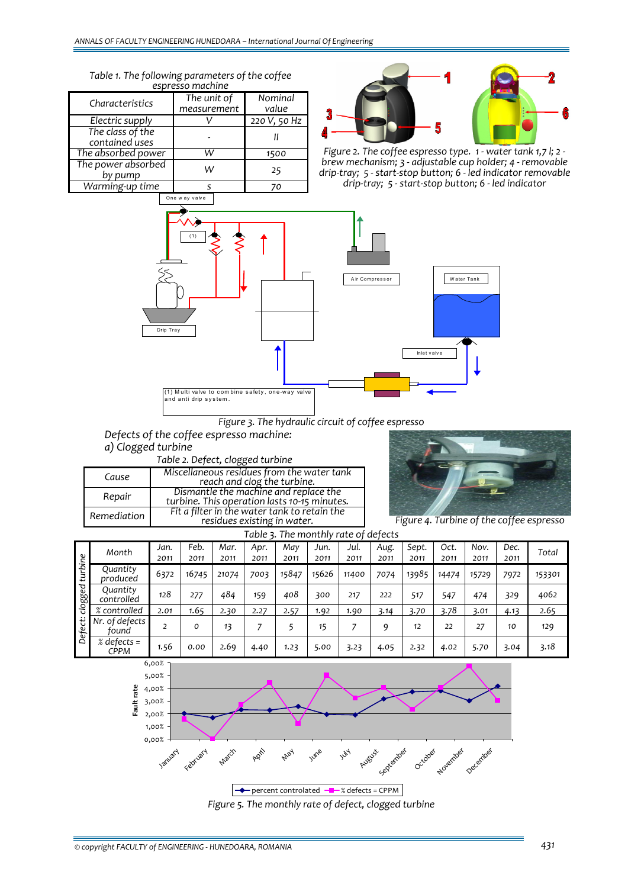*Table 1. The following parameters of the coffee espresso machine*

| <b>USDI USSU HIMUHIIII</b> U       |                            |                  |  |  |  |  |  |  |  |  |  |
|------------------------------------|----------------------------|------------------|--|--|--|--|--|--|--|--|--|
| Characteristics                    | The unit of<br>measurement | Nominal<br>value |  |  |  |  |  |  |  |  |  |
|                                    |                            |                  |  |  |  |  |  |  |  |  |  |
| Electric supply                    |                            | 220 V, 50 Hz     |  |  |  |  |  |  |  |  |  |
| The class of the<br>contained uses |                            |                  |  |  |  |  |  |  |  |  |  |
| The absorbed power                 | ١٨                         | 1500             |  |  |  |  |  |  |  |  |  |
| The power absorbed<br>by pump      |                            | 25               |  |  |  |  |  |  |  |  |  |
| Warming-up time                    |                            | 70               |  |  |  |  |  |  |  |  |  |
|                                    |                            |                  |  |  |  |  |  |  |  |  |  |



Figure 2. The coffee espresso type. 1 - water tank 1,7 l; 2 - brew mechanism; 3 - adjustable cup holder; 4 - removable *drip‐tray; 5 ‐ start‐stop button; 6 ‐ led indicator removable drip‐tray; 5 ‐ start‐stop button; 6 ‐ led indicator*



*Figure 3. The hydraulic circuit of coffee espresso*

*Defects of the coffee espresso machine: a) Clogged turbine*

*Table 2. Defect, clogged turbine*

|             | ັ                                                                                     |
|-------------|---------------------------------------------------------------------------------------|
| Cause       | Miscellaneous residues from the water tank<br>reach and clog the turbine.             |
| Repair      | Dismantle the machine and replace the<br>turbine. This operation lasts 10-15 minutes. |
| Remediation | Fit a filter in the water tank to retain the<br>residues existing in water.           |

*Figure 4. Turbine of the coffee espresso*

|                    | Table 3. The monthly rate of defects |              |              |              |              |             |              |              |              |               |              |              |              |        |
|--------------------|--------------------------------------|--------------|--------------|--------------|--------------|-------------|--------------|--------------|--------------|---------------|--------------|--------------|--------------|--------|
| turbine<br>clogged | Month                                | Jan.<br>2011 | Feb.<br>2011 | Mar.<br>2011 | Apr.<br>2011 | May<br>2011 | Jun.<br>2011 | Jul.<br>2011 | Aug.<br>2011 | Sept.<br>2011 | Oct.<br>2011 | Nov.<br>2011 | Dec.<br>2011 | Total  |
|                    | Quantity<br>produced                 | 6372         | 16745        | 21074        | 7003         | 15847       | 15626        | 11400        | 7074         | 13985         | 14474        | 15729        | 7972         | 153301 |
|                    | Quantity<br>controlled               | 128          | 277          | 484          | 159          | 408         | 300          | 217          | 222          | 517           | 547          | 474          | 329          | 4062   |
|                    | % controlled                         | 2.01         | 1.65         | 2.30         | 2.27         | 2.57        | 1.92         | 1.90         | 3.14         | 3.70          | 3.78         | 3.01         | 4.13         | 2.65   |
| Defect:            | Nr. of defects<br>tound              |              | o            | 13           |              |             | 15           |              | q            | 12            | 22           | 27           | 10           | 129    |
|                    | % defects $=$<br>CPPM                | 1.56         | 0.00         | 2.69         | 4.40         | 1.23        | 5.00         | 3.23         | 4.05         | 2.32          | 4.02         | 5.70         | 3.04         | 3.18   |

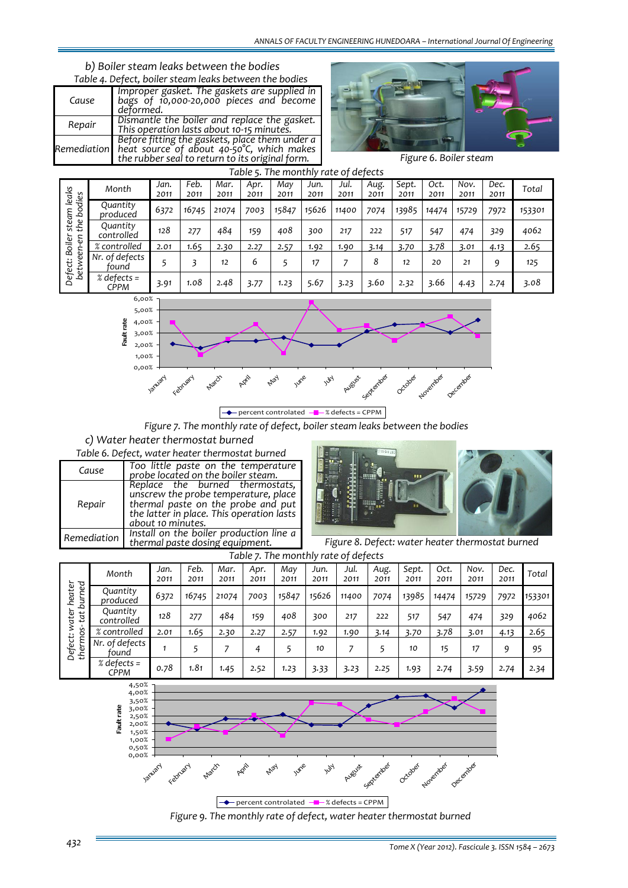## *b) Boiler steam leaks between the bodies*

| Table 4. Defect, boiler steam leaks between the bodies |                                                                                                                                                            |  |  |  |  |  |  |  |  |
|--------------------------------------------------------|------------------------------------------------------------------------------------------------------------------------------------------------------------|--|--|--|--|--|--|--|--|
| Cause                                                  | Improper gasket. The gaskets are supplied in<br>bags of 10,000-20,000 pieces and become<br>deformed.                                                       |  |  |  |  |  |  |  |  |
| Repair                                                 | Dismantle the boiler and replace the gasket.<br>This operation lasts about 10-15 minutes.                                                                  |  |  |  |  |  |  |  |  |
|                                                        | Before fitting the gaskets, place them under a<br>Remediation heat source of about 40-50°C, which makes<br>the rubber seal to return to its original form. |  |  |  |  |  |  |  |  |



*Figure 6. Boiler steam*

|                                          | Table 5. The monthly rate of defects |              |              |              |              |             |              |              |              |               |              |              |              |        |
|------------------------------------------|--------------------------------------|--------------|--------------|--------------|--------------|-------------|--------------|--------------|--------------|---------------|--------------|--------------|--------------|--------|
| leaks<br>dies<br>Ŏ,<br>steam<br>the<br>Z | Month                                | Jan.<br>2011 | Feb.<br>2011 | Mar.<br>2011 | Apr.<br>2011 | May<br>2011 | Jun.<br>2011 | Jul.<br>2011 | Aug.<br>2011 | Sept.<br>2011 | Oct.<br>2011 | Nov.<br>2011 | Dec.<br>2011 | Total  |
|                                          | Quantity<br>produced                 | 6372         | 16745        | 21074        | 7003         | 15847       | 15626        | 11400        | 7074         | 13985         | 14474        | 15729        | 7972         | 153301 |
|                                          | Quantity<br>controlled               | 128          | 277          | 484          | 159          | 408         | 300          | 217          | 222          | 517           | 547          | 474          | 329          | 4062   |
| iler<br>o<br>O<br>Ξ                      | % controlled                         | 2.01         | 1.65         | 2.30         | 2.27         | 2.57        | 1.92         | 1.90         | 3.14         | 3.70          | 3.78         | 3.01         | 4.13         | 2.65   |
| Ŏ<br>ଟ୍ର<br>Defect:<br>betw              | Nr. of defects<br>tound              |              |              | 12           | 6            |             | 17           |              | 8            | 12            | 20           | 21           | 9            | 125    |
|                                          | $%$ defects =<br>CPPM                | 3.91         | 1.08         | 2.48         | 3.77         | 1.23        | 5.67         | 3.23         | 3.60         | 2.32          | 3.66         | 4.43         | 2.74         | 3.08   |



*Figure 7. The monthly rate of defect, boiler steam leaks between the bodies*

*c) Water heater thermostat burned Table 6. Defect, water heater thermostat burned*

|             | Table 6. Defect, water heater thermostat burned                                                                                                                                 |
|-------------|---------------------------------------------------------------------------------------------------------------------------------------------------------------------------------|
| Cause       | Too little paste on the temperature<br>probe located on the boiler steam.                                                                                                       |
| Repair      | Replace the burned thermostats,<br>unscrew the probe temperature, place<br>thermal paste on the probe and put<br>the latter in place. This operation lasts<br>about 10 minutes. |
| Remediation | Install on the boiler production line a<br>thermal paste dosing equipment.                                                                                                      |



*Figure 8. Defect: water heater thermostat burned*

|                                  | Table 7. The monthly rate of defects |              |              |              |              |             |              |              |              |               |              |              |              |        |
|----------------------------------|--------------------------------------|--------------|--------------|--------------|--------------|-------------|--------------|--------------|--------------|---------------|--------------|--------------|--------------|--------|
| burned<br>heater<br>water<br>tat | Month                                | Jan.<br>2011 | Feb.<br>2011 | Mar.<br>2011 | Apr.<br>2011 | May<br>2011 | Jun.<br>2011 | Jul.<br>2011 | Aug.<br>2011 | Sept.<br>2011 | Oct.<br>2011 | Nov.<br>2011 | Dec.<br>2011 | Total  |
|                                  | Quantity<br>produced                 | 6372         | 16745        | 21074        | 7003         | 15847       | 15626        | 11400        | 7074         | 13985         | 14474        | 15729        | 7972         | 153301 |
|                                  | Quantity<br>controlled               | 128          | 277          | 484          | 159          | 408         | 300          | 217          | 222          | 517           | 547          | 474          | 329          | 4062   |
| Üη                               | % controlled                         | 2.01         | 1.65         | 2.30         | 2.27         | 2.57        | 1.92         | 1.90         | 3.14         | 3.70          | 3.78         | 3.01         | 4.13         | 2.65   |
| thermos<br>Defect:               | Nr. of defects<br>tound              |              |              |              | 4            | 5           | 10           | 7            |              | 10            | 15           | 17           | 9            | 95     |
|                                  | % defects =<br>CPPM                  | 0.78         | 1.81         | 1.45         | 2.52         | 1.23        | 3.33         | 3.23         | 2.25         | 1.93          | 2.74         | 3.59         | 2.74         | 2.34   |